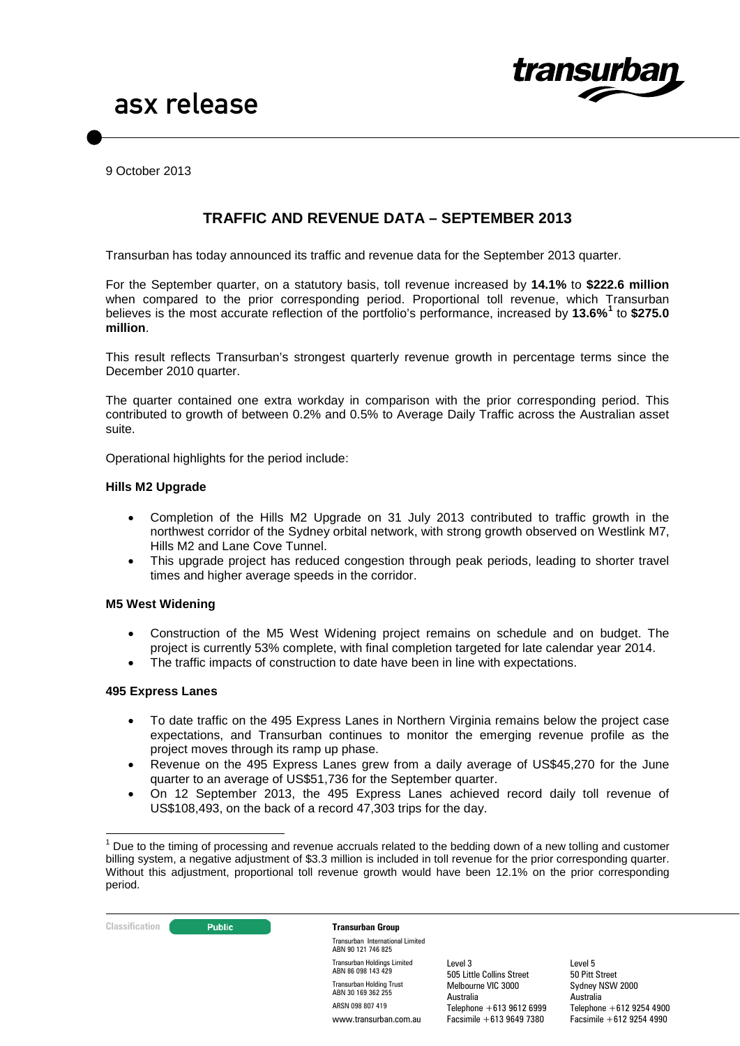

9 October 2013

# **TRAFFIC AND REVENUE DATA – SEPTEMBER 2013**

Transurban has today announced its traffic and revenue data for the September 2013 quarter.

For the September quarter, on a statutory basis, toll revenue increased by **14.1%** to **\$222.6 million**  when compared to the prior corresponding period. Proportional toll revenue, which Transurban believes is the most accurate reflection of the portfolio's performance, increased by **13.6%[1](#page-0-0)** to **\$275.0 million**.

This result reflects Transurban's strongest quarterly revenue growth in percentage terms since the December 2010 quarter.

The quarter contained one extra workday in comparison with the prior corresponding period. This contributed to growth of between 0.2% and 0.5% to Average Daily Traffic across the Australian asset suite.

Operational highlights for the period include:

#### **Hills M2 Upgrade**

- Completion of the Hills M2 Upgrade on 31 July 2013 contributed to traffic growth in the northwest corridor of the Sydney orbital network, with strong growth observed on Westlink M7, Hills M2 and Lane Cove Tunnel.
- This upgrade project has reduced congestion through peak periods, leading to shorter travel times and higher average speeds in the corridor.

### **M5 West Widening**

- Construction of the M5 West Widening project remains on schedule and on budget. The project is currently 53% complete, with final completion targeted for late calendar year 2014.
- The traffic impacts of construction to date have been in line with expectations.

#### **495 Express Lanes**

- To date traffic on the 495 Express Lanes in Northern Virginia remains below the project case expectations, and Transurban continues to monitor the emerging revenue profile as the project moves through its ramp up phase.
- Revenue on the 495 Express Lanes grew from a daily average of US\$45,270 for the June quarter to an average of US\$51,736 for the September quarter.
- On 12 September 2013, the 495 Express Lanes achieved record daily toll revenue of US\$108,493, on the back of a record 47,303 trips for the day.

<span id="page-0-0"></span> $1$  Due to the timing of processing and revenue accruals related to the bedding down of a new tolling and customer billing system, a negative adjustment of \$3.3 million is included in toll revenue for the prior corresponding quarter. Without this adjustment, proportional toll revenue growth would have been 12.1% on the prior corresponding period.



Transurban International Limited ABN 90 121 746 825 Transurban Holdings Limited ABN 86 098 143 429 Transurban Holding Trust ABN 30 169 362 255 ARSN 098 807 419 www.transurban.com.au

Level 3 505 Little Collins Street Melbourne VIC 3000 Australia Telephone +613 9612 6999 Facsimile +613 9649 7380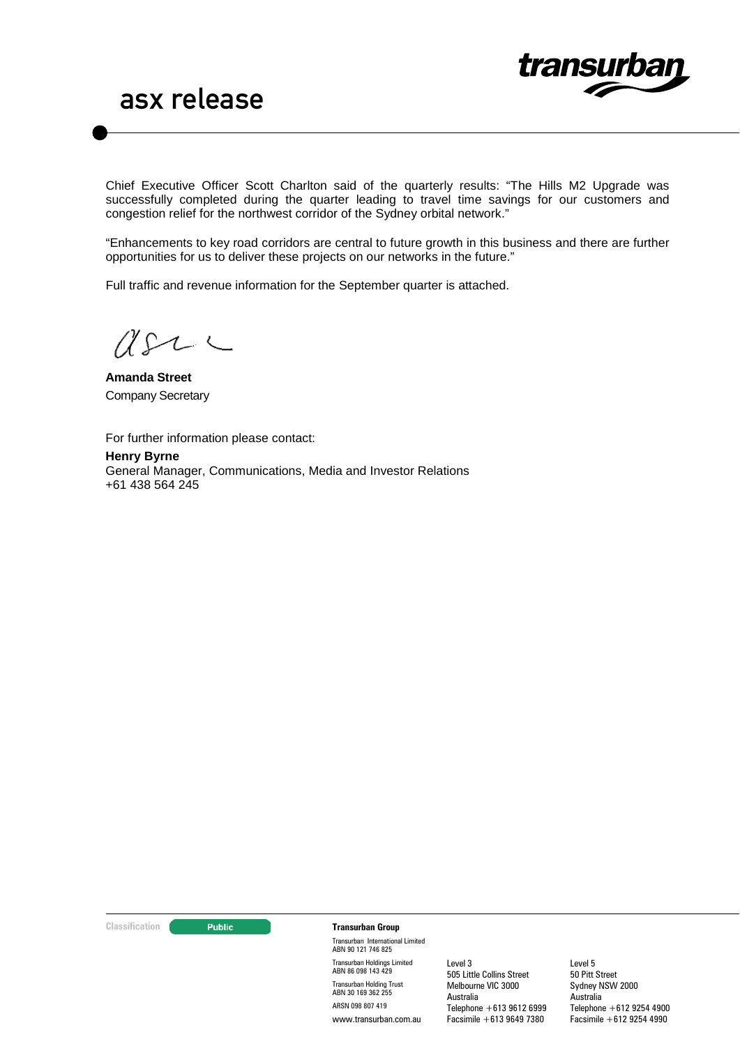

Chief Executive Officer Scott Charlton said of the quarterly results: "The Hills M2 Upgrade was successfully completed during the quarter leading to travel time savings for our customers and congestion relief for the northwest corridor of the Sydney orbital network."

"Enhancements to key road corridors are central to future growth in this business and there are further opportunities for us to deliver these projects on our networks in the future."

Full traffic and revenue information for the September quarter is attached.

 $2222$ 

**Amanda Street** Company Secretary

For further information please contact:

**Henry Byrne** General Manager, Communications, Media and Investor Relations +61 438 564 245

#### **Classification CLASSIFICATE:** Public **Transurban Group**

Transurban International Limited ABN 90 121 746 825 Transurban Holdings Limited ABN 86 098 143 429 Transurban Holding Trust ABN 30 169 362 255 ARSN 098 807 419 www.transurban.com.au

Level 3 505 Little Collins Street Melbourne VIC 3000 Australia Telephone +613 9612 6999 Facsimile +613 9649 7380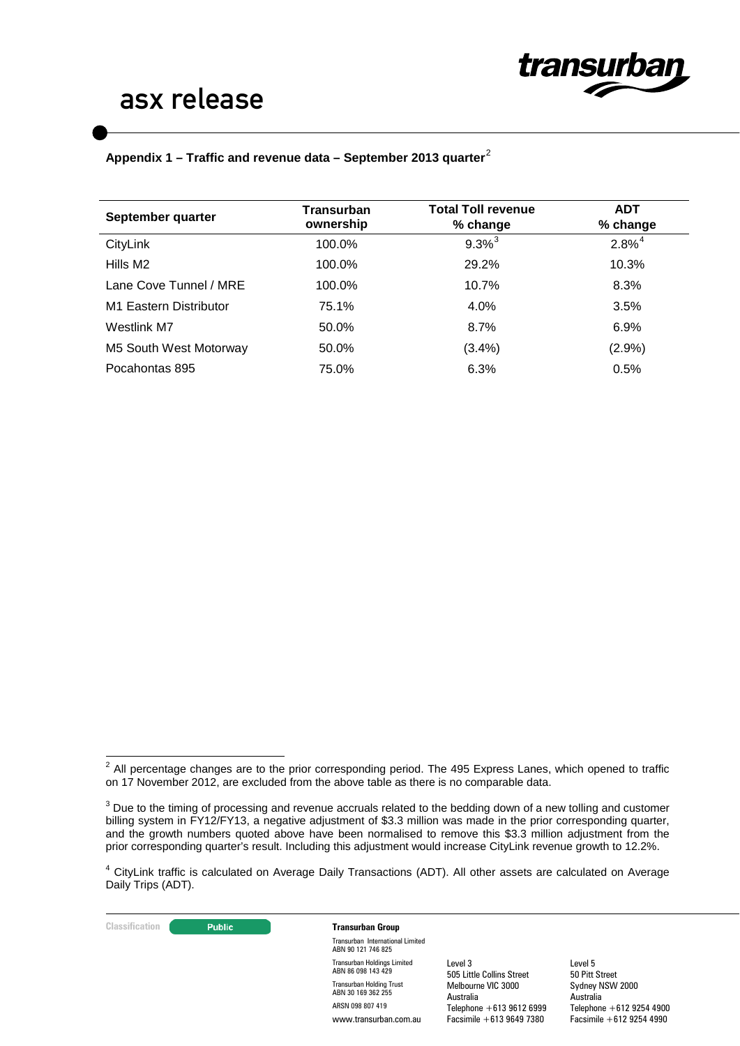

# asx release

## **Appendix 1 – Traffic and revenue data – September 2013 quarter**[2](#page-2-0)

| September quarter      | <b>Transurban</b><br>ownership | <b>Total Toll revenue</b><br>% change | <b>ADT</b><br>% change |
|------------------------|--------------------------------|---------------------------------------|------------------------|
| CityLink               | 100.0%                         | $9.3\%$ <sup>3</sup>                  | $2.8\%^{4}$            |
| Hills M2               | 100.0%                         | 29.2%                                 | 10.3%                  |
| Lane Cove Tunnel / MRE | 100.0%                         | 10.7%                                 | 8.3%                   |
| M1 Eastern Distributor | 75.1%                          | 4.0%                                  | 3.5%                   |
| Westlink M7            | 50.0%                          | 8.7%                                  | 6.9%                   |
| M5 South West Motorway | 50.0%                          | (3.4%)                                | (2.9%)                 |
| Pocahontas 895         | 75.0%                          | 6.3%                                  | 0.5%                   |

**Classification Transurban Group** 

Transurban International Limited ABN 90 121 746 825 Transurban Holdings Limited ABN 86 098 143 429 Transurban Holding Trust ABN 30 169 362 255 ARSN 098 807 419 www.transurban.com.au

Level 3 505 Little Collins Street Melbourne VIC 3000 Australia Telephone +613 9612 6999 Facsimile +613 9649 7380

<span id="page-2-0"></span> $2$  All percentage changes are to the prior corresponding period. The 495 Express Lanes, which opened to traffic on 17 November 2012, are excluded from the above table as there is no comparable data.

<span id="page-2-1"></span> $3$  Due to the timing of processing and revenue accruals related to the bedding down of a new tolling and customer billing system in FY12/FY13, a negative adjustment of \$3.3 million was made in the prior corresponding quarter, and the growth numbers quoted above have been normalised to remove this \$3.3 million adjustment from the prior corresponding quarter's result. Including this adjustment would increase CityLink revenue growth to 12.2%.

<span id="page-2-2"></span><sup>4</sup> CityLink traffic is calculated on Average Daily Transactions (ADT). All other assets are calculated on Average Daily Trips (ADT).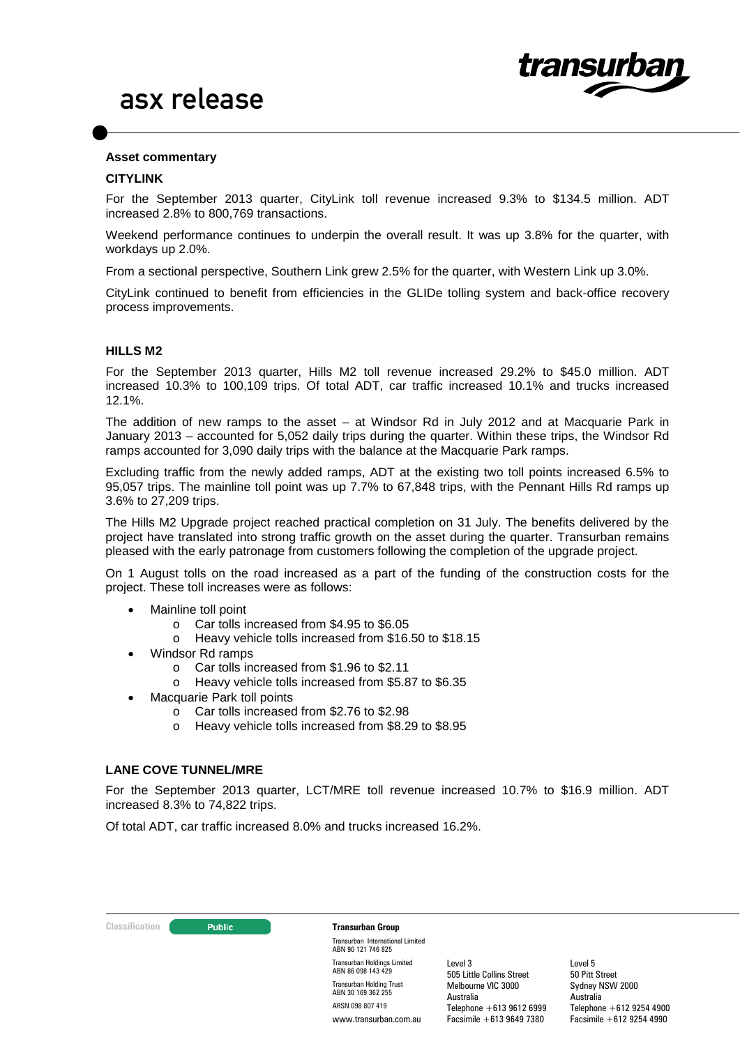

#### **Asset commentary**

#### **CITYLINK**

For the September 2013 quarter, CityLink toll revenue increased 9.3% to \$134.5 million. ADT increased 2.8% to 800,769 transactions.

Weekend performance continues to underpin the overall result. It was up 3.8% for the quarter, with workdays up 2.0%.

From a sectional perspective, Southern Link grew 2.5% for the quarter, with Western Link up 3.0%.

CityLink continued to benefit from efficiencies in the GLIDe tolling system and back-office recovery process improvements.

#### **HILLS M2**

For the September 2013 quarter, Hills M2 toll revenue increased 29.2% to \$45.0 million. ADT increased 10.3% to 100,109 trips. Of total ADT, car traffic increased 10.1% and trucks increased 12.1%.

The addition of new ramps to the asset – at Windsor Rd in July 2012 and at Macquarie Park in January 2013 – accounted for 5,052 daily trips during the quarter. Within these trips, the Windsor Rd ramps accounted for 3,090 daily trips with the balance at the Macquarie Park ramps.

Excluding traffic from the newly added ramps, ADT at the existing two toll points increased 6.5% to 95,057 trips. The mainline toll point was up 7.7% to 67,848 trips, with the Pennant Hills Rd ramps up 3.6% to 27,209 trips.

The Hills M2 Upgrade project reached practical completion on 31 July. The benefits delivered by the project have translated into strong traffic growth on the asset during the quarter. Transurban remains pleased with the early patronage from customers following the completion of the upgrade project.

On 1 August tolls on the road increased as a part of the funding of the construction costs for the project. These toll increases were as follows:

- Mainline toll point
	- o Car tolls increased from \$4.95 to \$6.05
	- o Heavy vehicle tolls increased from \$16.50 to \$18.15
- Windsor Rd ramps
	- o Car tolls increased from \$1.96 to \$2.11
	- o Heavy vehicle tolls increased from \$5.87 to \$6.35
- Macquarie Park toll points
	- o Car tolls increased from \$2.76 to \$2.98
	- o Heavy vehicle tolls increased from \$8.29 to \$8.95

#### **LANE COVE TUNNEL/MRE**

For the September 2013 quarter, LCT/MRE toll revenue increased 10.7% to \$16.9 million. ADT increased 8.3% to 74,822 trips.

Of total ADT, car traffic increased 8.0% and trucks increased 16.2%.

**Classification Transurban Group** 

Transurban International Limited ABN 90 121 746 825 Transurban Holdings Limited ABN 86 098 143 429 Transurban Holding Trust ABN 30 169 362 255 ARSN 098 807 419 www.transurban.com.au

Level 3 505 Little Collins Street Melbourne VIC 3000 Australia Telephone +613 9612 6999 Facsimile +613 9649 7380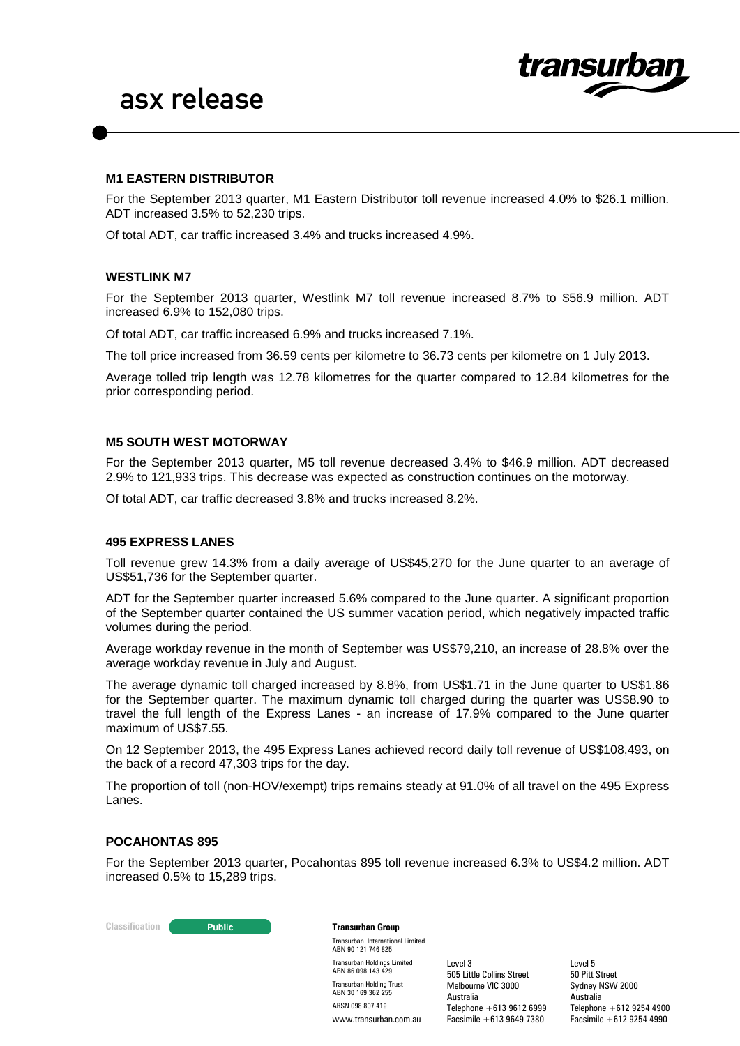

### **M1 EASTERN DISTRIBUTOR**

For the September 2013 quarter, M1 Eastern Distributor toll revenue increased 4.0% to \$26.1 million. ADT increased 3.5% to 52,230 trips.

Of total ADT, car traffic increased 3.4% and trucks increased 4.9%.

#### **WESTLINK M7**

For the September 2013 quarter, Westlink M7 toll revenue increased 8.7% to \$56.9 million. ADT increased 6.9% to 152,080 trips.

Of total ADT, car traffic increased 6.9% and trucks increased 7.1%.

The toll price increased from 36.59 cents per kilometre to 36.73 cents per kilometre on 1 July 2013.

Average tolled trip length was 12.78 kilometres for the quarter compared to 12.84 kilometres for the prior corresponding period.

### **M5 SOUTH WEST MOTORWAY**

For the September 2013 quarter, M5 toll revenue decreased 3.4% to \$46.9 million. ADT decreased 2.9% to 121,933 trips. This decrease was expected as construction continues on the motorway.

Of total ADT, car traffic decreased 3.8% and trucks increased 8.2%.

#### **495 EXPRESS LANES**

Toll revenue grew 14.3% from a daily average of US\$45,270 for the June quarter to an average of US\$51,736 for the September quarter.

ADT for the September quarter increased 5.6% compared to the June quarter. A significant proportion of the September quarter contained the US summer vacation period, which negatively impacted traffic volumes during the period.

Average workday revenue in the month of September was US\$79,210, an increase of 28.8% over the average workday revenue in July and August.

The average dynamic toll charged increased by 8.8%, from US\$1.71 in the June quarter to US\$1.86 for the September quarter. The maximum dynamic toll charged during the quarter was US\$8.90 to travel the full length of the Express Lanes - an increase of 17.9% compared to the June quarter maximum of US\$7.55.

On 12 September 2013, the 495 Express Lanes achieved record daily toll revenue of US\$108,493, on the back of a record 47,303 trips for the day.

The proportion of toll (non-HOV/exempt) trips remains steady at 91.0% of all travel on the 495 Express Lanes.

#### **POCAHONTAS 895**

For the September 2013 quarter, Pocahontas 895 toll revenue increased 6.3% to US\$4.2 million. ADT increased 0.5% to 15,289 trips.

| <b>Classification</b> | <b>Public</b>         | <b>Transurban Group</b>                                  |                                      |                              |
|-----------------------|-----------------------|----------------------------------------------------------|--------------------------------------|------------------------------|
|                       |                       | Transurban International Limited<br>ABN 90 121 746 825   |                                      |                              |
|                       |                       | <b>Transurban Holdings Limited</b><br>ABN 86 098 143 429 | Level 3<br>505 Little Collins Street | Level 5<br>50 Pitt Street    |
|                       |                       | <b>Transurban Holding Trust</b><br>ABN 30 169 362 255    | Melbourne VIC 3000<br>Australia      | Sydney NSW 2000<br>Australia |
|                       |                       | ARSN 098 807 419                                         | Telephone $+61396126999$             | Telephone $+61292544900$     |
|                       | www.transurban.com.au | Facsimile $+61396497380$                                 | Facsimile $+612$ 9254 4990           |                              |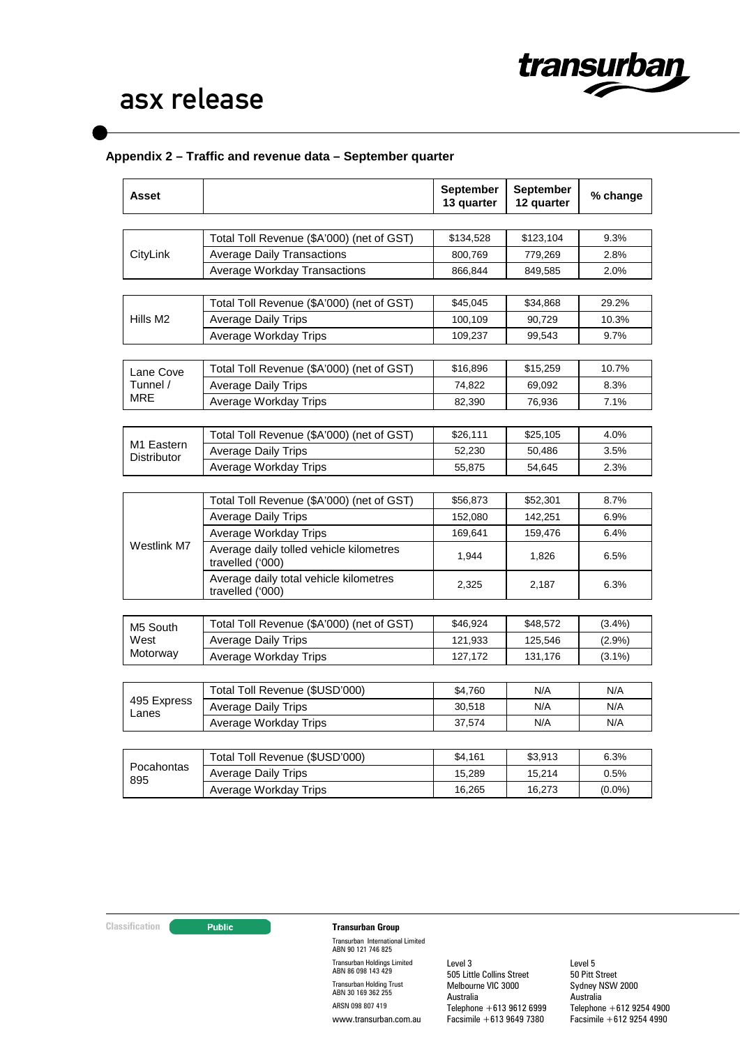

# asx release

## **Appendix 2 – Traffic and revenue data – September quarter**

| Asset                  |                                                             | September<br>13 quarter | September<br>12 quarter | % change  |
|------------------------|-------------------------------------------------------------|-------------------------|-------------------------|-----------|
|                        |                                                             |                         |                         |           |
| CityLink               | Total Toll Revenue (\$A'000) (net of GST)                   | \$134,528               | \$123,104               | 9.3%      |
|                        | <b>Average Daily Transactions</b>                           | 800,769                 | 779,269                 | 2.8%      |
|                        | <b>Average Workday Transactions</b>                         | 866,844                 | 849,585                 | 2.0%      |
|                        |                                                             |                         |                         |           |
|                        | Total Toll Revenue (\$A'000) (net of GST)                   | \$45,045                | \$34,868                | 29.2%     |
| Hills M2               | Average Daily Trips                                         | 100,109                 | 90,729                  | 10.3%     |
|                        | Average Workday Trips                                       | 109,237                 | 99,543                  | 9.7%      |
| Lane Cove              | Total Toll Revenue (\$A'000) (net of GST)                   | \$16,896                | \$15,259                | 10.7%     |
| Tunnel /               | <b>Average Daily Trips</b>                                  | 74,822                  | 69,092                  | 8.3%      |
| MRE                    | Average Workday Trips                                       | 82,390                  | 76,936                  | 7.1%      |
|                        |                                                             |                         |                         |           |
|                        | Total Toll Revenue (\$A'000) (net of GST)                   | \$26,111                | \$25,105                | 4.0%      |
| M <sub>1</sub> Eastern | <b>Average Daily Trips</b>                                  | 52,230                  | 50,486                  | 3.5%      |
| <b>Distributor</b>     | Average Workday Trips                                       | 55,875                  | 54,645                  | 2.3%      |
|                        |                                                             |                         |                         |           |
|                        | Total Toll Revenue (\$A'000) (net of GST)                   | \$56,873                | \$52,301                | 8.7%      |
| Westlink M7            | <b>Average Daily Trips</b>                                  | 152,080                 | 142,251                 | 6.9%      |
|                        | Average Workday Trips                                       | 169,641                 | 159,476                 | 6.4%      |
|                        | Average daily tolled vehicle kilometres<br>travelled ('000) | 1,944                   | 1,826                   | 6.5%      |
|                        | Average daily total vehicle kilometres<br>travelled ('000)  | 2,325                   | 2,187                   | 6.3%      |
|                        |                                                             |                         |                         |           |
| M5 South               | Total Toll Revenue (\$A'000) (net of GST)                   | \$46,924                | \$48,572                | $(3.4\%)$ |
| West                   | <b>Average Daily Trips</b>                                  | 121,933                 | 125,546                 | (2.9%)    |
| Motorway               | Average Workday Trips                                       | 127,172                 | 131,176                 | $(3.1\%)$ |
|                        |                                                             |                         |                         |           |
|                        | Total Toll Revenue (\$USD'000)                              | \$4,760                 | N/A                     | N/A       |
| 495 Express<br>Lanes   | <b>Average Daily Trips</b>                                  | 30,518                  | N/A                     | N/A       |
|                        | Average Workday Trips                                       | 37,574                  | N/A                     | N/A       |
|                        |                                                             |                         |                         |           |
|                        | Total Toll Revenue (\$USD'000)                              | \$4,161                 | \$3,913                 | 6.3%      |
| Pocahontas<br>895      | <b>Average Daily Trips</b>                                  | 15,289                  | 15,214                  | 0.5%      |
|                        | Average Workday Trips                                       | 16,265                  | 16,273                  | $(0.0\%)$ |

### **Classification Transurban Group**

Transurban International Limited ABN 90 121 746 825 Transurban Holdings Limited ABN 86 098 143 429 Transurban Holding Trust ABN 30 169 362 255 ARSN 098 807 419 www.transurban.com.au

Level 3 505 Little Collins Street Melbourne VIC 3000 Australia Telephone +613 9612 6999 Facsimile +613 9649 7380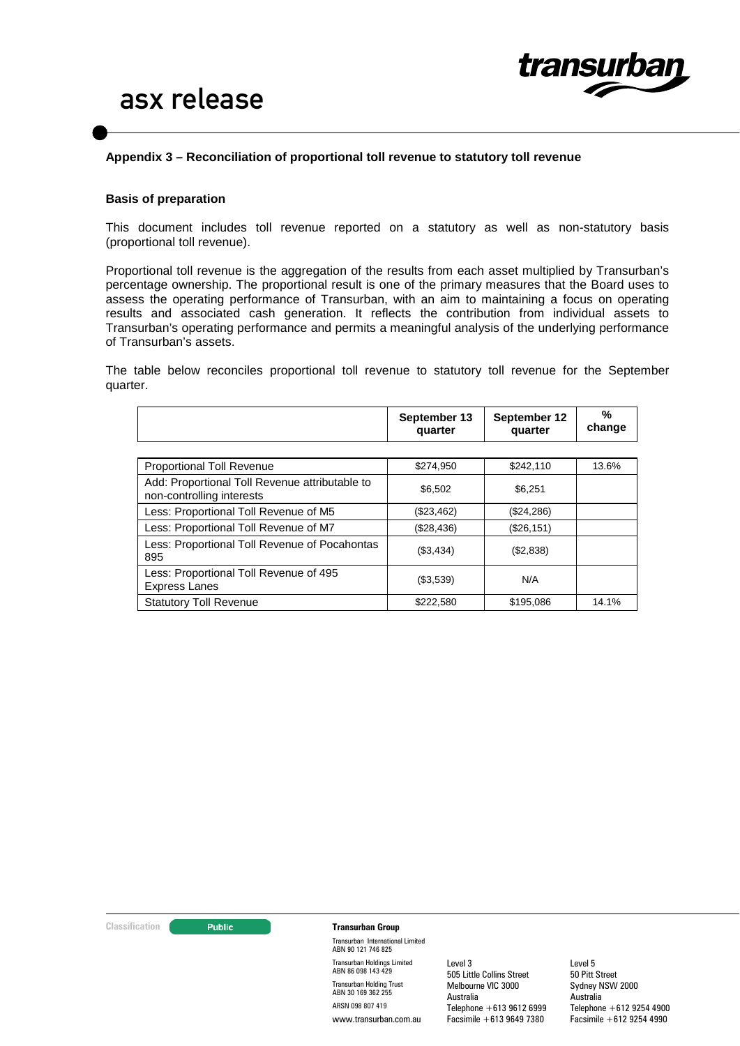

### **Appendix 3 – Reconciliation of proportional toll revenue to statutory toll revenue**

#### **Basis of preparation**

This document includes toll revenue reported on a statutory as well as non-statutory basis (proportional toll revenue).

Proportional toll revenue is the aggregation of the results from each asset multiplied by Transurban's percentage ownership. The proportional result is one of the primary measures that the Board uses to assess the operating performance of Transurban, with an aim to maintaining a focus on operating results and associated cash generation. It reflects the contribution from individual assets to Transurban's operating performance and permits a meaningful analysis of the underlying performance of Transurban's assets.

The table below reconciles proportional toll revenue to statutory toll revenue for the September quarter.

|                                                                             | September 13<br>quarter | September 12<br>quarter | %<br>change |
|-----------------------------------------------------------------------------|-------------------------|-------------------------|-------------|
|                                                                             |                         |                         |             |
| <b>Proportional Toll Revenue</b>                                            | \$274,950               | \$242,110               | 13.6%       |
| Add: Proportional Toll Revenue attributable to<br>non-controlling interests | \$6.502                 | \$6.251                 |             |
| Less: Proportional Toll Revenue of M5                                       | (\$23,462)              | (\$24,286)              |             |
| Less: Proportional Toll Revenue of M7                                       | (\$28,436)              | (\$26, 151)             |             |
| Less: Proportional Toll Revenue of Pocahontas<br>895                        | (\$3,434)               | (\$2,838)               |             |
| Less: Proportional Toll Revenue of 495<br><b>Express Lanes</b>              | (\$3,539)               | N/A                     |             |
| <b>Statutory Toll Revenue</b>                                               | \$222,580               | \$195,086               | 14.1%       |

#### **Classification CLASSIFICATE:** Public **Transurban Group**

Transurban International Limited ABN 90 121 746 825 Transurban Holdings Limited ABN 86 098 143 429 Transurban Holding Trust ABN 30 169 362 255 ARSN 098 807 419 www.transurban.com.au

Level 3 505 Little Collins Street Melbourne VIC 3000 Australia Telephone +613 9612 6999 Facsimile +613 9649 7380